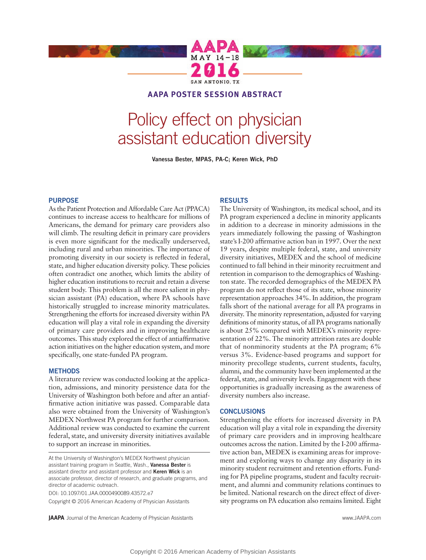

## **AAPA POSTER SESSION ABSTRACT**

# Policy effect on physician assistant education diversity

**Vanessa Bester, MPAS, PA-C; Keren Wick, PhD**

### **PURPOSE**

As the Patient Protection and Affordable Care Act (PPACA) continues to increase access to healthcare for millions of Americans, the demand for primary care providers also will climb. The resulting deficit in primary care providers is even more significant for the medically underserved, including rural and urban minorities. The importance of promoting diversity in our society is reflected in federal, state, and higher education diversity policy. These policies often contradict one another, which limits the ability of higher education institutions to recruit and retain a diverse student body. This problem is all the more salient in physician assistant (PA) education, where PA schools have historically struggled to increase minority matriculates. Strengthening the efforts for increased diversity within PA education will play a vital role in expanding the diversity of primary care providers and in improving healthcare outcomes. This study explored the effect of antiaffirmative action initiatives on the higher education system, and more specifically, one state-funded PA program.

### **METHODS**

A literature review was conducted looking at the application, admissions, and minority persistence data for the University of Washington both before and after an antiaffirmative action initiative was passed. Comparable data also were obtained from the University of Washington's MEDEX Northwest PA program for further comparison. Additional review was conducted to examine the current federal, state, and university diversity initiatives available to support an increase in minorities.

At the University of Washington's MEDEX Northwest physician assistant training program in Seattle, Wash., **Vanessa Bester** is assistant director and assistant professor and **Keren Wick** is an associate professor, director of research, and graduate programs, and director of academic outreach.

DOI: 10.1097/01.JAA.0000490089.43572.e7

Copyright © 2016 American Academy of Physician Assistants

#### **RESULTS**

The University of Washington, its medical school, and its PA program experienced a decline in minority applicants in addition to a decrease in minority admissions in the years immediately following the passing of Washington state's I-200 affirmative action ban in 1997. Over the next 19 years, despite multiple federal, state, and university diversity initiatives, MEDEX and the school of medicine continued to fall behind in their minority recruitment and retention in comparison to the demographics of Washington state. The recorded demographics of the MEDEX PA program do not reflect those of its state, whose minority representation approaches 34%. In addition, the program falls short of the national average for all PA programs in diversity. The minority representation, adjusted for varying definitions of minority status, of all PA programs nationally is about 25% compared with MEDEX's minority representation of 22%. The minority attrition rates are double that of nonminority students at the PA program; 6% versus 3%. Evidence-based programs and support for minority precollege students, current students, faculty, alumni, and the community have been implemented at the federal, state, and university levels. Engagement with these opportunities is gradually increasing as the awareness of diversity numbers also increase.

#### **CONCLUSIONS**

Strengthening the efforts for increased diversity in PA education will play a vital role in expanding the diversity of primary care providers and in improving healthcare outcomes across the nation. Limited by the I-200 affirmative action ban, MEDEX is examining areas for improvement and exploring ways to change any disparity in its minority student recruitment and retention efforts. Funding for PA pipeline programs, student and faculty recruitment, and alumni and community relations continues to be limited. National research on the direct effect of diversity programs on PA education also remains limited. Eight